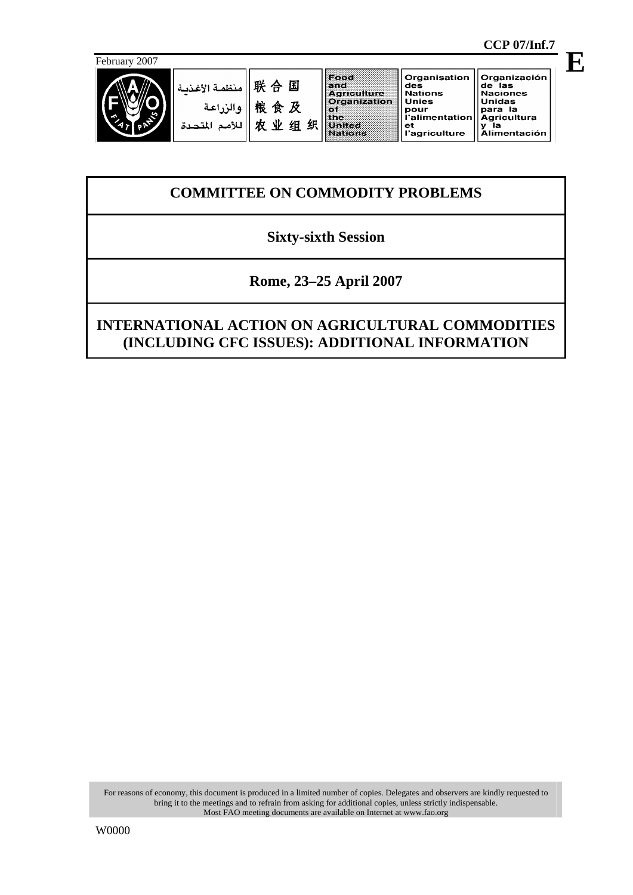

لدة

联合国 منظمة الأغذد والزراعة 粮食及 农业组织 للأمم المت

Food Food<br>Agriculture<br>Organization<br>United<br>Nations

 $_{\rm et}$ 

Organisation Organización des<br>Nations de las<br>Naciones **Unies** Unidas omuas<br>para la<br>Agricultura<br>y la<br>Alimentación omes<br>pour<br>l'alimentation l'agriculture

# **COMMITTEE ON COMMODITY PROBLEMS**

### **Sixty-sixth Session**

### **Rome, 23–25 April 2007**

## **INTERNATIONAL ACTION ON AGRICULTURAL COMMODITIES (INCLUDING CFC ISSUES): ADDITIONAL INFORMATION**

For reasons of economy, this document is produced in a limited number of copies. Delegates and observers are kindly requested to bring it to the meetings and to refrain from asking for additional copies, unless strictly indispensable. Most FAO meeting documents are available on Internet at www.fao.org

#### **CCP 07/Inf.7**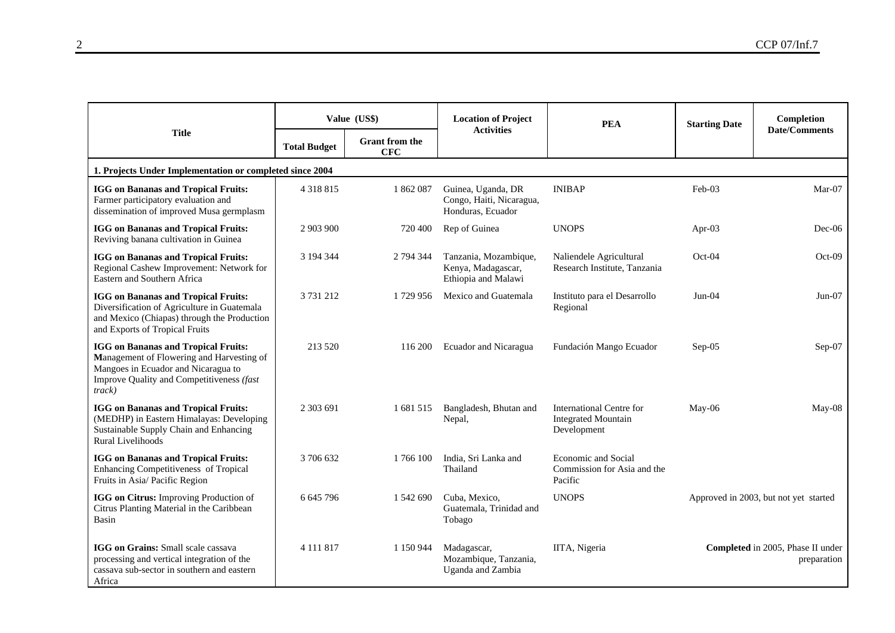|                                                                                                                                                                                       | Value (US\$)        |                                     | <b>Location of Project</b><br><b>Activities</b>                     | <b>PEA</b>                                                            | <b>Starting Date</b> | Completion<br><b>Date/Comments</b>               |  |  |  |  |
|---------------------------------------------------------------------------------------------------------------------------------------------------------------------------------------|---------------------|-------------------------------------|---------------------------------------------------------------------|-----------------------------------------------------------------------|----------------------|--------------------------------------------------|--|--|--|--|
| <b>Title</b>                                                                                                                                                                          | <b>Total Budget</b> | <b>Grant from the</b><br><b>CFC</b> |                                                                     |                                                                       |                      |                                                  |  |  |  |  |
| 1. Projects Under Implementation or completed since 2004                                                                                                                              |                     |                                     |                                                                     |                                                                       |                      |                                                  |  |  |  |  |
| <b>IGG</b> on Bananas and Tropical Fruits:<br>Farmer participatory evaluation and<br>dissemination of improved Musa germplasm                                                         | 4 3 1 8 8 1 5       | 1862087                             | Guinea, Uganda, DR<br>Congo, Haiti, Nicaragua,<br>Honduras, Ecuador | <b>INIBAP</b>                                                         | Feb-03               | Mar-07                                           |  |  |  |  |
| <b>IGG</b> on Bananas and Tropical Fruits:<br>Reviving banana cultivation in Guinea                                                                                                   | 2 903 900           | 720 400                             | Rep of Guinea                                                       | <b>UNOPS</b>                                                          | Apr-03               | $Dec-06$                                         |  |  |  |  |
| <b>IGG</b> on Bananas and Tropical Fruits:<br>Regional Cashew Improvement: Network for<br>Eastern and Southern Africa                                                                 | 3 194 344           | 2 794 344                           | Tanzania, Mozambique,<br>Kenya, Madagascar,<br>Ethiopia and Malawi  | Naliendele Agricultural<br>Research Institute, Tanzania               | $Oct-04$             | Oct-09                                           |  |  |  |  |
| <b>IGG</b> on Bananas and Tropical Fruits:<br>Diversification of Agriculture in Guatemala<br>and Mexico (Chiapas) through the Production<br>and Exports of Tropical Fruits            | 3 731 212           | 1729 956                            | Mexico and Guatemala                                                | Instituto para el Desarrollo<br>Regional                              | $Jun-04$             | $Jun-07$                                         |  |  |  |  |
| <b>IGG</b> on Bananas and Tropical Fruits:<br>Management of Flowering and Harvesting of<br>Mangoes in Ecuador and Nicaragua to<br>Improve Quality and Competitiveness (fast<br>track) | 213 520             | 116 200                             | Ecuador and Nicaragua                                               | Fundación Mango Ecuador                                               | $Sep-05$             | Sep-07                                           |  |  |  |  |
| <b>IGG</b> on Bananas and Tropical Fruits:<br>(MEDHP) in Eastern Himalayas: Developing<br>Sustainable Supply Chain and Enhancing<br>Rural Livelihoods                                 | 2 303 691           | 1681515                             | Bangladesh, Bhutan and<br>Nepal,                                    | International Centre for<br><b>Integrated Mountain</b><br>Development | $May-06$             | May-08                                           |  |  |  |  |
| <b>IGG</b> on Bananas and Tropical Fruits:<br>Enhancing Competitiveness of Tropical<br>Fruits in Asia/ Pacific Region                                                                 | 3 706 632           | 1766 100                            | India, Sri Lanka and<br>Thailand                                    | <b>Economic and Social</b><br>Commission for Asia and the<br>Pacific  |                      |                                                  |  |  |  |  |
| IGG on Citrus: Improving Production of<br>Citrus Planting Material in the Caribbean<br>Basin                                                                                          | 6 645 796           | 1 542 690                           | Cuba, Mexico,<br>Guatemala, Trinidad and<br>Tobago                  | <b>UNOPS</b>                                                          |                      | Approved in 2003, but not yet started            |  |  |  |  |
| IGG on Grains: Small scale cassava<br>processing and vertical integration of the<br>cassava sub-sector in southern and eastern<br>Africa                                              | 4 1 1 1 8 1 7       | 1 150 944                           | Madagascar,<br>Mozambique, Tanzania,<br>Uganda and Zambia           | IITA, Nigeria                                                         |                      | Completed in 2005, Phase II under<br>preparation |  |  |  |  |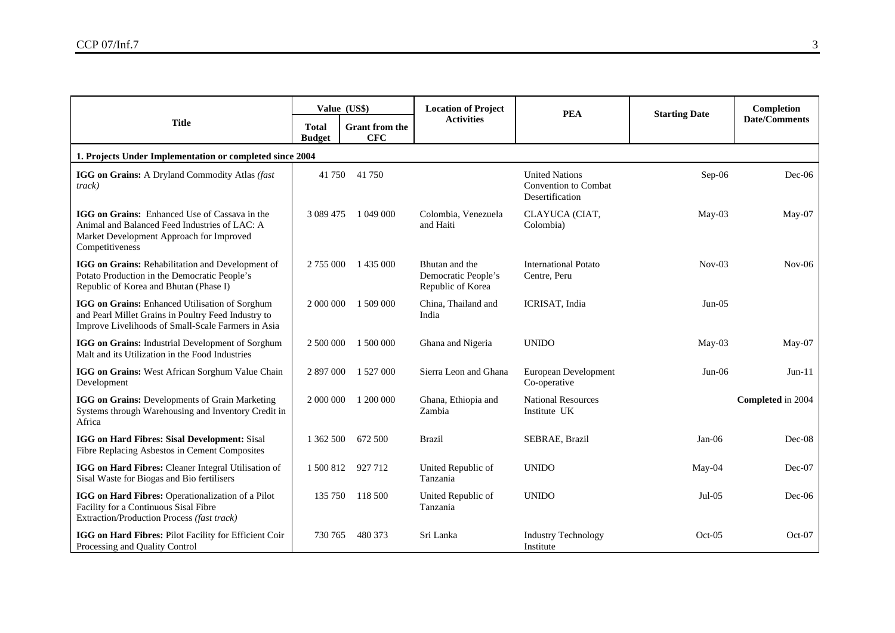|                                                                                                                                                                      | Value (US\$)                  |                                     | <b>Location of Project</b>                                 | <b>PEA</b>                                                              | <b>Starting Date</b> | Completion           |  |  |  |  |
|----------------------------------------------------------------------------------------------------------------------------------------------------------------------|-------------------------------|-------------------------------------|------------------------------------------------------------|-------------------------------------------------------------------------|----------------------|----------------------|--|--|--|--|
| <b>Title</b>                                                                                                                                                         | <b>Total</b><br><b>Budget</b> | <b>Grant from the</b><br><b>CFC</b> | <b>Activities</b>                                          |                                                                         |                      | <b>Date/Comments</b> |  |  |  |  |
| 1. Projects Under Implementation or completed since 2004                                                                                                             |                               |                                     |                                                            |                                                                         |                      |                      |  |  |  |  |
| IGG on Grains: A Dryland Commodity Atlas (fast<br>track)                                                                                                             | 41 750                        | 41 750                              |                                                            | <b>United Nations</b><br><b>Convention to Combat</b><br>Desertification | $Sep-06$             | $Dec-06$             |  |  |  |  |
| <b>IGG on Grains:</b> Enhanced Use of Cassava in the<br>Animal and Balanced Feed Industries of LAC: A<br>Market Development Approach for Improved<br>Competitiveness | 3 0 8 9 4 7 5                 | 1 049 000                           | Colombia, Venezuela<br>and Haiti                           | CLAYUCA (CIAT,<br>Colombia)                                             | $M$ ay-03            | $May-07$             |  |  |  |  |
| IGG on Grains: Rehabilitation and Development of<br>Potato Production in the Democratic People's<br>Republic of Korea and Bhutan (Phase I)                           | 2 755 000                     | 1 435 000                           | Bhutan and the<br>Democratic People's<br>Republic of Korea | <b>International Potato</b><br>Centre, Peru                             | $Nov-03$             | $Nov-06$             |  |  |  |  |
| IGG on Grains: Enhanced Utilisation of Sorghum<br>and Pearl Millet Grains in Poultry Feed Industry to<br>Improve Livelihoods of Small-Scale Farmers in Asia          | 2 000 000                     | 1 509 000                           | China, Thailand and<br>India                               | ICRISAT, India                                                          | $Jun-05$             |                      |  |  |  |  |
| IGG on Grains: Industrial Development of Sorghum<br>Malt and its Utilization in the Food Industries                                                                  | 2 500 000                     | 1 500 000                           | Ghana and Nigeria                                          | <b>UNIDO</b>                                                            | $May-03$             | May-07               |  |  |  |  |
| IGG on Grains: West African Sorghum Value Chain<br>Development                                                                                                       | 2 897 000                     | 1 527 000                           | Sierra Leon and Ghana                                      | European Development<br>Co-operative                                    | $Jun-06$             | $Jun-11$             |  |  |  |  |
| IGG on Grains: Developments of Grain Marketing<br>Systems through Warehousing and Inventory Credit in<br>Africa                                                      | 2 000 000                     | 1 200 000                           | Ghana, Ethiopia and<br>Zambia                              | <b>National Resources</b><br>Institute UK                               |                      | Completed in 2004    |  |  |  |  |
| IGG on Hard Fibres: Sisal Development: Sisal<br>Fibre Replacing Asbestos in Cement Composites                                                                        | 1 362 500                     | 672 500                             | <b>Brazil</b>                                              | SEBRAE, Brazil                                                          | $Jan-06$             | Dec-08               |  |  |  |  |
| IGG on Hard Fibres: Cleaner Integral Utilisation of<br>Sisal Waste for Biogas and Bio fertilisers                                                                    | 1 500 812                     | 927 712                             | United Republic of<br>Tanzania                             | <b>UNIDO</b>                                                            | May-04               | Dec-07               |  |  |  |  |
| IGG on Hard Fibres: Operationalization of a Pilot<br>Facility for a Continuous Sisal Fibre<br>Extraction/Production Process (fast track)                             | 135 750                       | 118 500                             | United Republic of<br>Tanzania                             | <b>UNIDO</b>                                                            | $Jul-05$             | $Dec-06$             |  |  |  |  |
| IGG on Hard Fibres: Pilot Facility for Efficient Coir<br>Processing and Quality Control                                                                              | 730 765                       | 480 373                             | Sri Lanka                                                  | <b>Industry Technology</b><br>Institute                                 | $Oct-05$             | Oct-07               |  |  |  |  |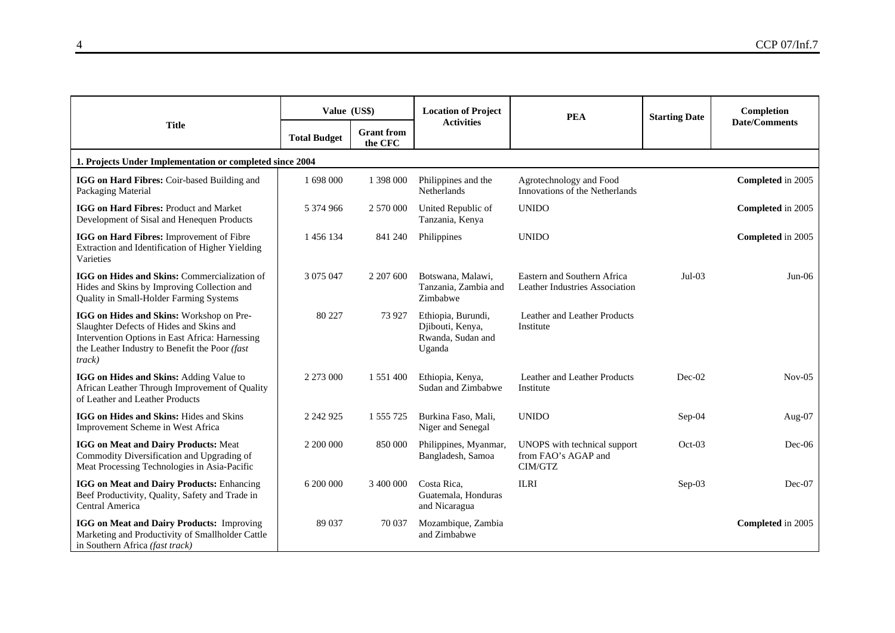|                                                                                                                                                                                                     | Value (US\$)        |                              | <b>Location of Project</b>                                            | <b>PEA</b>                                                     | <b>Starting Date</b> | Completion           |  |  |
|-----------------------------------------------------------------------------------------------------------------------------------------------------------------------------------------------------|---------------------|------------------------------|-----------------------------------------------------------------------|----------------------------------------------------------------|----------------------|----------------------|--|--|
| <b>Title</b>                                                                                                                                                                                        | <b>Total Budget</b> | <b>Grant</b> from<br>the CFC | <b>Activities</b>                                                     |                                                                |                      | <b>Date/Comments</b> |  |  |
| 1. Projects Under Implementation or completed since 2004                                                                                                                                            |                     |                              |                                                                       |                                                                |                      |                      |  |  |
| IGG on Hard Fibres: Coir-based Building and<br>Packaging Material                                                                                                                                   | 1 698 000           | 1 398 000                    | Philippines and the<br>Netherlands                                    | Agrotechnology and Food<br>Innovations of the Netherlands      |                      | Completed in 2005    |  |  |
| IGG on Hard Fibres: Product and Market<br>Development of Sisal and Henequen Products                                                                                                                | 5 374 966           | 2 570 000                    | United Republic of<br>Tanzania, Kenya                                 | <b>UNIDO</b>                                                   |                      | Completed in 2005    |  |  |
| IGG on Hard Fibres: Improvement of Fibre<br>Extraction and Identification of Higher Yielding<br>Varieties                                                                                           | 1 456 134           | 841 240                      | Philippines                                                           | <b>UNIDO</b>                                                   |                      | Completed in 2005    |  |  |
| IGG on Hides and Skins: Commercialization of<br>Hides and Skins by Improving Collection and<br>Quality in Small-Holder Farming Systems                                                              | 3 0 7 5 0 4 7       | 2 207 600                    | Botswana, Malawi,<br>Tanzania, Zambia and<br>Zimbabwe                 | Eastern and Southern Africa<br>Leather Industries Association  | $Jul-03$             | $Jun-06$             |  |  |
| IGG on Hides and Skins: Workshop on Pre-<br>Slaughter Defects of Hides and Skins and<br>Intervention Options in East Africa: Harnessing<br>the Leather Industry to Benefit the Poor (fast<br>track) | 80 227              | 73 9 27                      | Ethiopia, Burundi,<br>Djibouti, Kenya,<br>Rwanda, Sudan and<br>Uganda | Leather and Leather Products<br>Institute                      |                      |                      |  |  |
| IGG on Hides and Skins: Adding Value to<br>African Leather Through Improvement of Quality<br>of Leather and Leather Products                                                                        | 2 273 000           | 1 551 400                    | Ethiopia, Kenya,<br>Sudan and Zimbabwe                                | Leather and Leather Products<br>Institute                      | Dec-02               | $Nov-05$             |  |  |
| IGG on Hides and Skins: Hides and Skins<br>Improvement Scheme in West Africa                                                                                                                        | 2 242 925           | 1 555 725                    | Burkina Faso, Mali,<br>Niger and Senegal                              | <b>UNIDO</b>                                                   | Sep-04               | Aug- $07$            |  |  |
| IGG on Meat and Dairy Products: Meat<br>Commodity Diversification and Upgrading of<br>Meat Processing Technologies in Asia-Pacific                                                                  | 2 200 000           | 850 000                      | Philippines, Myanmar,<br>Bangladesh, Samoa                            | UNOPS with technical support<br>from FAO's AGAP and<br>CIM/GTZ | $Oct-03$             | $Dec-06$             |  |  |
| <b>IGG on Meat and Dairy Products: Enhancing</b><br>Beef Productivity, Quality, Safety and Trade in<br>Central America                                                                              | 6 200 000           | 3 400 000                    | Costa Rica.<br>Guatemala, Honduras<br>and Nicaragua                   | <b>ILRI</b>                                                    | Sep-03               | $Dec-07$             |  |  |
| IGG on Meat and Dairy Products: Improving<br>Marketing and Productivity of Smallholder Cattle<br>in Southern Africa (fast track)                                                                    | 89 037              | 70 037                       | Mozambique, Zambia<br>and Zimbabwe                                    |                                                                |                      | Completed in 2005    |  |  |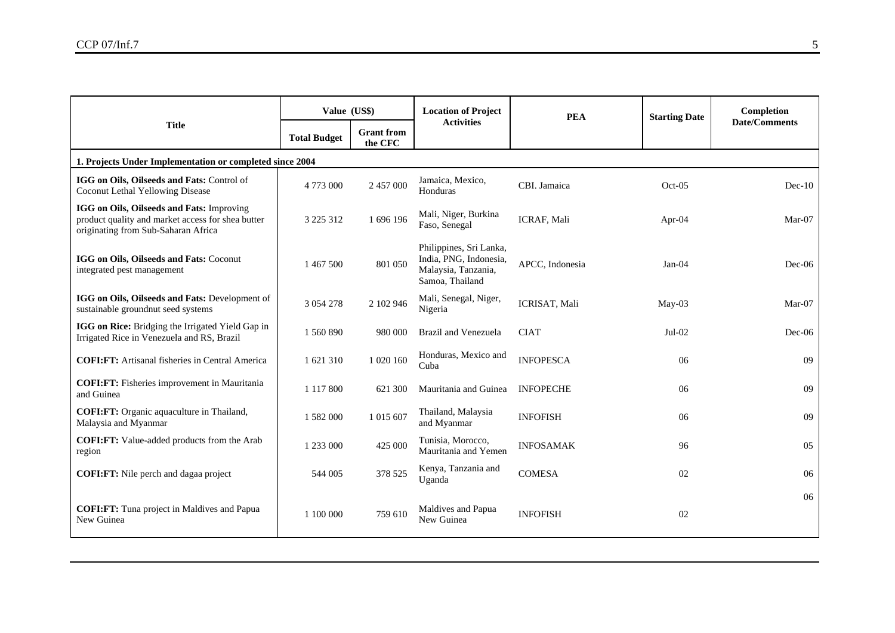|                                                                                                                                       | Value (US\$)        |                              | <b>Location of Project</b>                                                                  | <b>PEA</b>       | <b>Starting Date</b> | Completion           |  |  |
|---------------------------------------------------------------------------------------------------------------------------------------|---------------------|------------------------------|---------------------------------------------------------------------------------------------|------------------|----------------------|----------------------|--|--|
| <b>Title</b>                                                                                                                          | <b>Total Budget</b> | <b>Grant</b> from<br>the CFC | <b>Activities</b>                                                                           |                  |                      | <b>Date/Comments</b> |  |  |
| 1. Projects Under Implementation or completed since 2004                                                                              |                     |                              |                                                                                             |                  |                      |                      |  |  |
| IGG on Oils, Oilseeds and Fats: Control of<br>Coconut Lethal Yellowing Disease                                                        | 4 773 000           | 2 457 000                    | Jamaica, Mexico,<br>Honduras                                                                | CBI. Jamaica     | $Oct-05$             | $Dec-10$             |  |  |
| IGG on Oils, Oilseeds and Fats: Improving<br>product quality and market access for shea butter<br>originating from Sub-Saharan Africa | 3 2 2 5 3 1 2       | 1 696 196                    | Mali, Niger, Burkina<br>Faso, Senegal                                                       | ICRAF, Mali      | Apr- $04$            | $Mar-07$             |  |  |
| IGG on Oils, Oilseeds and Fats: Coconut<br>integrated pest management                                                                 | 1 467 500           | 801 050                      | Philippines, Sri Lanka,<br>India, PNG, Indonesia,<br>Malaysia, Tanzania,<br>Samoa, Thailand | APCC, Indonesia  | $Jan-04$             | Dec-06               |  |  |
| IGG on Oils, Oilseeds and Fats: Development of<br>sustainable groundnut seed systems                                                  | 3 0 5 4 2 7 8       | 2 102 946                    | Mali, Senegal, Niger,<br>Nigeria                                                            | ICRISAT, Mali    | $M$ ay-03            | Mar-07               |  |  |
| IGG on Rice: Bridging the Irrigated Yield Gap in<br>Irrigated Rice in Venezuela and RS, Brazil                                        | 1 560 890           | 980 000                      | Brazil and Venezuela                                                                        | <b>CIAT</b>      | $Jul-02$             | $Dec-06$             |  |  |
| <b>COFI:FT:</b> Artisanal fisheries in Central America                                                                                | 1 621 310           | 1 020 160                    | Honduras, Mexico and<br>Cuba                                                                | <b>INFOPESCA</b> | 06                   | 09                   |  |  |
| <b>COFI:FT:</b> Fisheries improvement in Mauritania<br>and Guinea                                                                     | 1 1 1 7 8 0 0       | 621 300                      | Mauritania and Guinea                                                                       | <b>INFOPECHE</b> | 06                   | 09                   |  |  |
| <b>COFI:FT:</b> Organic aquaculture in Thailand,<br>Malaysia and Myanmar                                                              | 1 582 000           | 1 015 607                    | Thailand, Malaysia<br>and Myanmar                                                           | <b>INFOFISH</b>  | 06                   | 09                   |  |  |
| <b>COFI:FT:</b> Value-added products from the Arab<br>region                                                                          | 1 233 000           | 425 000                      | Tunisia, Morocco,<br>Mauritania and Yemen                                                   | <b>INFOSAMAK</b> | 96                   | 05                   |  |  |
| <b>COFI:FT:</b> Nile perch and dagaa project                                                                                          | 544 005             | 378 525                      | Kenya, Tanzania and<br>Uganda                                                               | <b>COMESA</b>    | 02                   | 06                   |  |  |
| <b>COFI:FT:</b> Tuna project in Maldives and Papua<br>New Guinea                                                                      | 1 100 000           | 759 610                      | Maldives and Papua<br>New Guinea                                                            | <b>INFOFISH</b>  | 02                   | 06                   |  |  |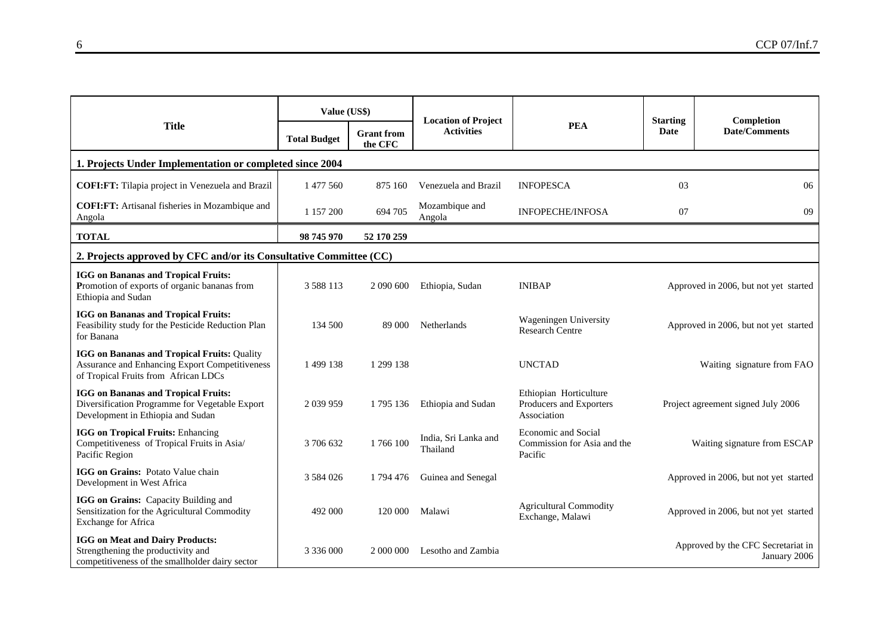|                                                                                                                                                     | Value (US\$)        |                              | <b>Location of Project</b>       |                                                                      | <b>Starting</b>                       | Completion                                         |
|-----------------------------------------------------------------------------------------------------------------------------------------------------|---------------------|------------------------------|----------------------------------|----------------------------------------------------------------------|---------------------------------------|----------------------------------------------------|
| <b>Title</b>                                                                                                                                        | <b>Total Budget</b> | <b>Grant</b> from<br>the CFC | <b>Activities</b>                | <b>PEA</b>                                                           | <b>Date</b>                           | <b>Date/Comments</b>                               |
| 1. Projects Under Implementation or completed since 2004                                                                                            |                     |                              |                                  |                                                                      |                                       |                                                    |
| COFI:FT: Tilapia project in Venezuela and Brazil                                                                                                    | 1 477 560           | 875 160                      | Venezuela and Brazil             | <b>INFOPESCA</b>                                                     | 03                                    | 06                                                 |
| COFI:FT: Artisanal fisheries in Mozambique and<br>Angola                                                                                            | 1 157 200           | 694 705                      | Mozambique and<br>Angola         | <b>INFOPECHE/INFOSA</b>                                              | 07                                    | 09                                                 |
| <b>TOTAL</b>                                                                                                                                        | 98 745 970          | 52 170 259                   |                                  |                                                                      |                                       |                                                    |
| 2. Projects approved by CFC and/or its Consultative Committee (CC)                                                                                  |                     |                              |                                  |                                                                      |                                       |                                                    |
| <b>IGG</b> on Bananas and Tropical Fruits:<br>Promotion of exports of organic bananas from<br>Ethiopia and Sudan                                    | 3 5 8 8 1 1 3       | 2 090 600                    | Ethiopia, Sudan                  | <b>INIBAP</b>                                                        | Approved in 2006, but not yet started |                                                    |
| <b>IGG</b> on Bananas and Tropical Fruits:<br>Feasibility study for the Pesticide Reduction Plan<br>for Banana                                      | 134 500             | 89 000                       | Netherlands                      | Wageningen University<br><b>Research Centre</b>                      | Approved in 2006, but not yet started |                                                    |
| <b>IGG on Bananas and Tropical Fruits: Quality</b><br><b>Assurance and Enhancing Export Competitiveness</b><br>of Tropical Fruits from African LDCs | 1499138             | 1 299 138                    |                                  | <b>UNCTAD</b>                                                        | Waiting signature from FAO            |                                                    |
| <b>IGG</b> on Bananas and Tropical Fruits:<br>Diversification Programme for Vegetable Export<br>Development in Ethiopia and Sudan                   | 2 0 39 9 59         | 1795 136                     | Ethiopia and Sudan               | Ethiopian Horticulture<br>Producers and Exporters<br>Association     | Project agreement signed July 2006    |                                                    |
| <b>IGG on Tropical Fruits: Enhancing</b><br>Competitiveness of Tropical Fruits in Asia/<br>Pacific Region                                           | 3 706 632           | 1766100                      | India, Sri Lanka and<br>Thailand | <b>Economic and Social</b><br>Commission for Asia and the<br>Pacific | Waiting signature from ESCAP          |                                                    |
| IGG on Grains: Potato Value chain<br>Development in West Africa                                                                                     | 3 5 8 4 0 2 6       | 1794476                      | Guinea and Senegal               |                                                                      |                                       | Approved in 2006, but not yet started              |
| IGG on Grains: Capacity Building and<br>Sensitization for the Agricultural Commodity<br>Exchange for Africa                                         | 492 000             | 120 000                      | Malawi                           | <b>Agricultural Commodity</b><br>Exchange, Malawi                    |                                       | Approved in 2006, but not yet started              |
| <b>IGG</b> on Meat and Dairy Products:<br>Strengthening the productivity and<br>competitiveness of the smallholder dairy sector                     | 3 3 3 6 0 0 0 0     | 2 000 000                    | Lesotho and Zambia               |                                                                      |                                       | Approved by the CFC Secretariat in<br>January 2006 |